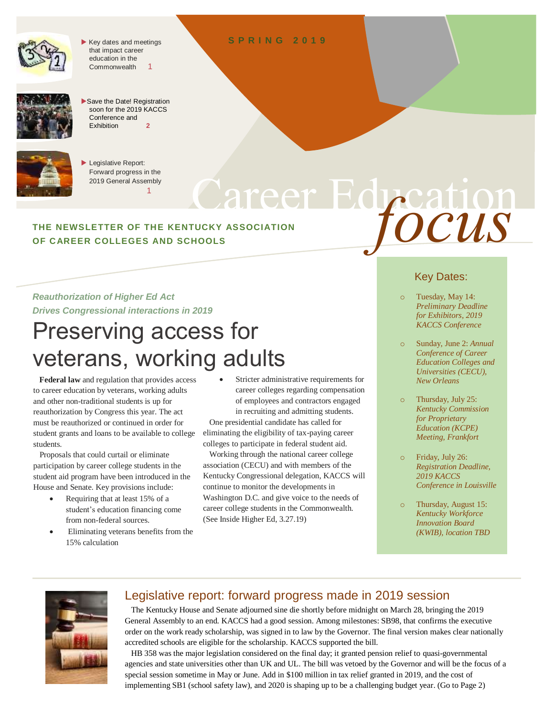

 $\blacktriangleright$  Key dates and meetings that impact career education in the Commonwealth 1



Save the Date! Registration soon for the 2019 KACCS Conference and Exhibition **2**



Legislative Report: Forward progress in the 2019 General Assembly  $11.11$  and  $11.11$ 

# Education Services **THE NEWSLETTER OF THE KENTUCKY ASSOCIATION OF CAREER COLLEGES AND SCHOOLS** *focus*

#### *Reauthorization of Higher Ed Act Drives Congressional interactions in 2019*

# Preserving access for veterans, working adults

 **Federal law** and regulation that provides access to career education by veterans, working adults and other non-traditional students is up for reauthorization by Congress this year. The act must be reauthorized or continued in order for student grants and loans to be available to college students.

 Proposals that could curtail or eliminate participation by career college students in the student aid program have been introduced in the House and Senate. Key provisions include:

- Requiring that at least 15% of a student's education financing come from non-federal sources.
- Eliminating veterans benefits from the 15% calculation

 Stricter administrative requirements for career colleges regarding compensation of employees and contractors engaged in recruiting and admitting students.

 One presidential candidate has called for eliminating the eligibility of tax-paying career colleges to participate in federal student aid.

 Working through the national career college association (CECU) and with members of the Kentucky Congressional delegation, KACCS will continue to monitor the developments in Washington D.C. and give voice to the needs of career college students in the Commonwealth. (See Inside Higher Ed, 3.27.19)

### Key Dates:

- Tuesday, May 14: *Preliminary Deadline for Exhibitors, 2019 KACCS Conference*
- Sunday, June 2: *Annual Conference of Career Education Colleges and Universities (CECU), New Orleans*
- o Thursday, July 25: *Kentucky Commission for Proprietary Education (KCPE) Meeting, Frankfort*
- o Friday, July 26: *Registration Deadline, 2019 KACCS Conference in Louisville*
- Thursday, August 15: *Kentucky Workforce Innovation Board (KWIB), location TBD*



### Legislative report: forward progress made in 2019 session

 The Kentucky House and Senate adjourned sine die shortly before midnight on March 28, bringing the 2019 General Assembly to an end. KACCS had a good session. Among milestones: SB98, that confirms the executive order on the work ready scholarship, was signed in to law by the Governor. The final version makes clear nationally accredited schools are eligible for the scholarship. KACCS supported the bill.

 HB 358 was the major legislation considered on the final day; it granted pension relief to quasi-governmental agencies and state universities other than UK and UL. The bill was vetoed by the Governor and will be the focus of a special session sometime in May or June. Add in \$100 million in tax relief granted in 2019, and the cost of implementing SB1 (school safety law), and 2020 is shaping up to be a challenging budget year. (Go to Page 2)

#### **S P R I N G 2 0 1 9**